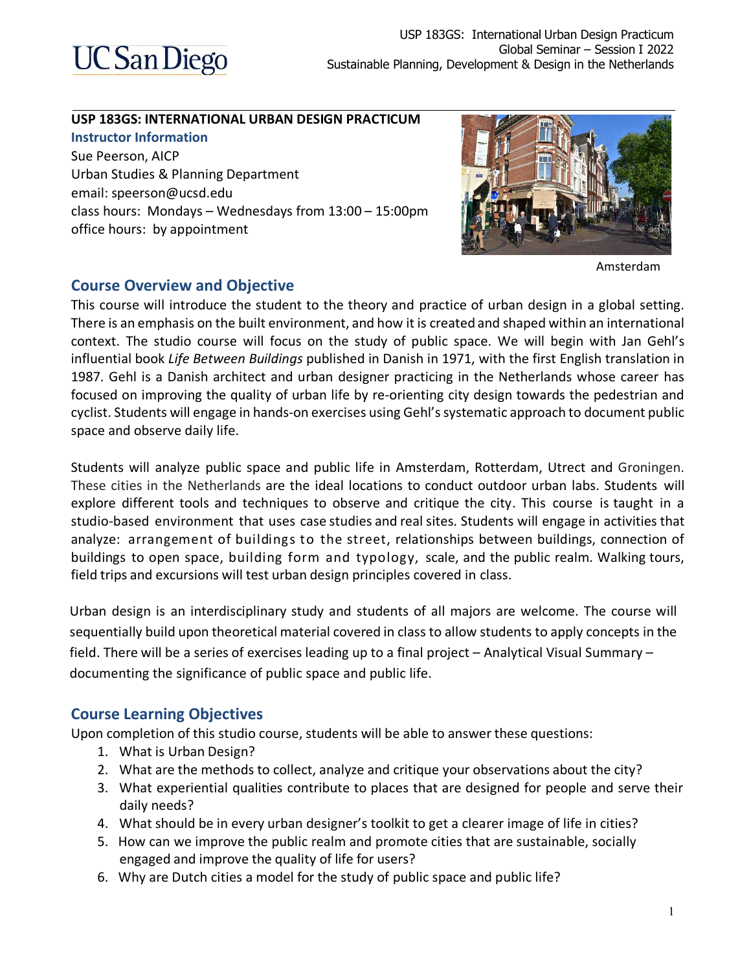

#### **USP 183GS: INTERNATIONAL URBAN DESIGN PRACTICUM**

**Instructor Information** Sue Peerson, AICP Urban Studies & Planning Department email: speerson@ucsd.edu class hours: Mondays – Wednesdays from 13:00 – 15:00pm office hours: by appointment



Amsterdam

#### **Course Overview and Objective**

This course will introduce the student to the theory and practice of urban design in a global setting. There is an emphasis on the built environment, and how it is created and shaped within an international context. The studio course will focus on the study of public space. We will begin with Jan Gehl's influential book *Life Between Buildings* published in Danish in 1971, with the first English translation in 1987. Gehl is a Danish architect and urban designer practicing in the Netherlands whose career has focused on improving the quality of urban life by re-orienting city design towards the pedestrian and cyclist. Students will engage in hands-on exercises using Gehl's systematic approach to document public space and observe daily life.

Students will analyze public space and public life in Amsterdam, Rotterdam, Utrect and Groningen. These cities in the Netherlands are the ideal locations to conduct outdoor urban labs. Students will explore different tools and techniques to observe and critique the city. This course is taught in a studio-based environment that uses case studies and real sites. Students will engage in activities that analyze: arrangement of buildings to the street, relationships between buildings, connection of buildings to open space, building form and typology, scale, and the public realm. Walking tours, field trips and excursions will test urban design principles covered in class.

Urban design is an interdisciplinary study and students of all majors are welcome. The course will sequentially build upon theoretical material covered in class to allow students to apply concepts in the field. There will be a series of exercises leading up to a final project – Analytical Visual Summary – documenting the significance of public space and public life.

#### **Course Learning Objectives**

Upon completion of this studio course, students will be able to answer these questions:

- 1. What is Urban Design?
- 2. What are the methods to collect, analyze and critique your observations about the city?
- 3. What experiential qualities contribute to places that are designed for people and serve their daily needs?
- 4. What should be in every urban designer's toolkit to get a clearer image of life in cities?
- 5. How can we improve the public realm and promote cities that are sustainable, socially engaged and improve the quality of life for users?
- 6. Why are Dutch cities a model for the study of public space and public life?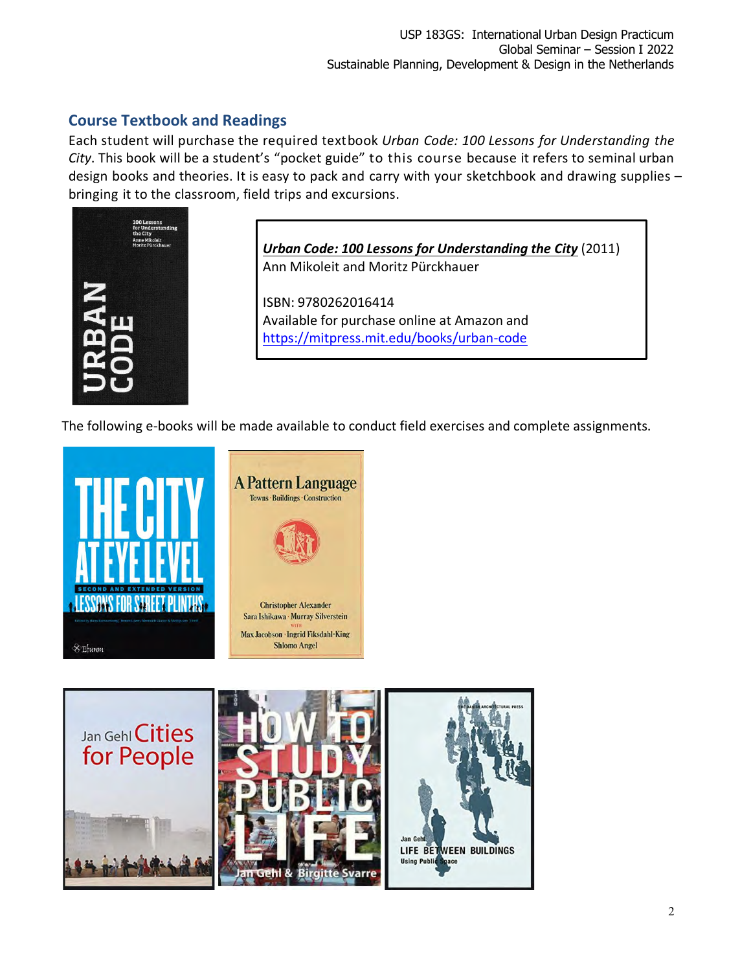## **Course Textbook and Readings**

Each student will purchase the required text book *Urban Code: 100 Lessons for Understanding the City*. This book will be a student's "pocket guide" to this course because it refers to seminal urban design books and theories. It is easy to pack and carry with your sketchbook and drawing supplies – bringing it to the classroom, field trips and excursions.



*Urban Code: 100 Lessons for Understanding the City* (2011) Ann Mikoleit and Moritz Pürckhauer

ISBN: 9780262016414 Available for purchase online at Amazon and https://mitpress.mit.edu/books/urban-code

The following e-books will be made available to conduct field exercises and complete assignments.



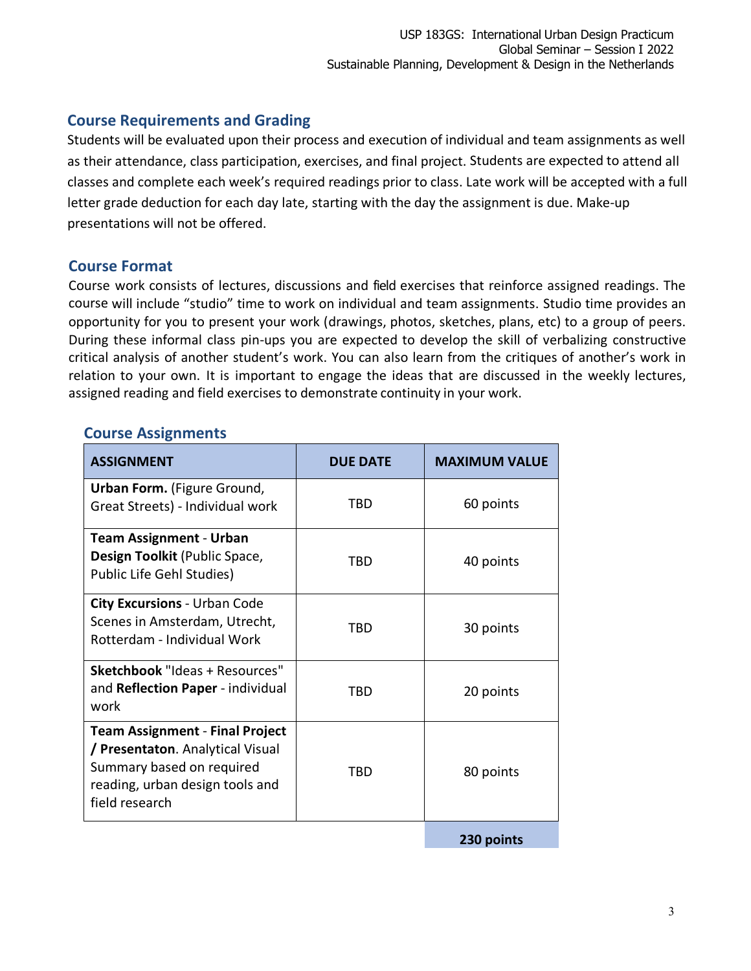#### **Course Requirements and Grading**

Students will be evaluated upon their process and execution of individual and team assignments as well as their attendance, class participation, exercises, and final project. Students are expected to attend all classes and complete each week's required readings prior to class. Late work will be accepted with a full letter grade deduction for each day late, starting with the day the assignment is due. Make-up presentations will not be offered.

#### **Course Format**

Course work consists of lectures, discussions and field exercises that reinforce assigned readings. The course will include "studio" time to work on individual and team assignments. Studio time provides an opportunity for you to present your work (drawings, photos, sketches, plans, etc) to a group of peers. During these informal class pin-ups you are expected to develop the skill of verbalizing constructive critical analysis of another student's work. You can also learn from the critiques of another's work in relation to your own. It is important to engage the ideas that are discussed in the weekly lectures, assigned reading and field exercises to demonstrate continuity in your work.

### **Course Assignments**

| <b>ASSIGNMENT</b>                                                                                                                                            | <b>DUE DATE</b> | <b>MAXIMUM VALUE</b> |
|--------------------------------------------------------------------------------------------------------------------------------------------------------------|-----------------|----------------------|
| <b>Urban Form.</b> (Figure Ground,<br>Great Streets) - Individual work                                                                                       | TBD             | 60 points            |
| <b>Team Assignment - Urban</b><br>Design Toolkit (Public Space,<br>Public Life Gehl Studies)                                                                 | TBD             | 40 points            |
| <b>City Excursions - Urban Code</b><br>Scenes in Amsterdam, Utrecht,<br>Rotterdam - Individual Work                                                          | TRD             | 30 points            |
| <b>Sketchbook</b> "Ideas + Resources"<br>and Reflection Paper - individual<br>work                                                                           | TBD             | 20 points            |
| <b>Team Assignment - Final Project</b><br>/ Presentaton. Analytical Visual<br>Summary based on required<br>reading, urban design tools and<br>field research | TBD             | 80 points            |
|                                                                                                                                                              |                 | 230 points           |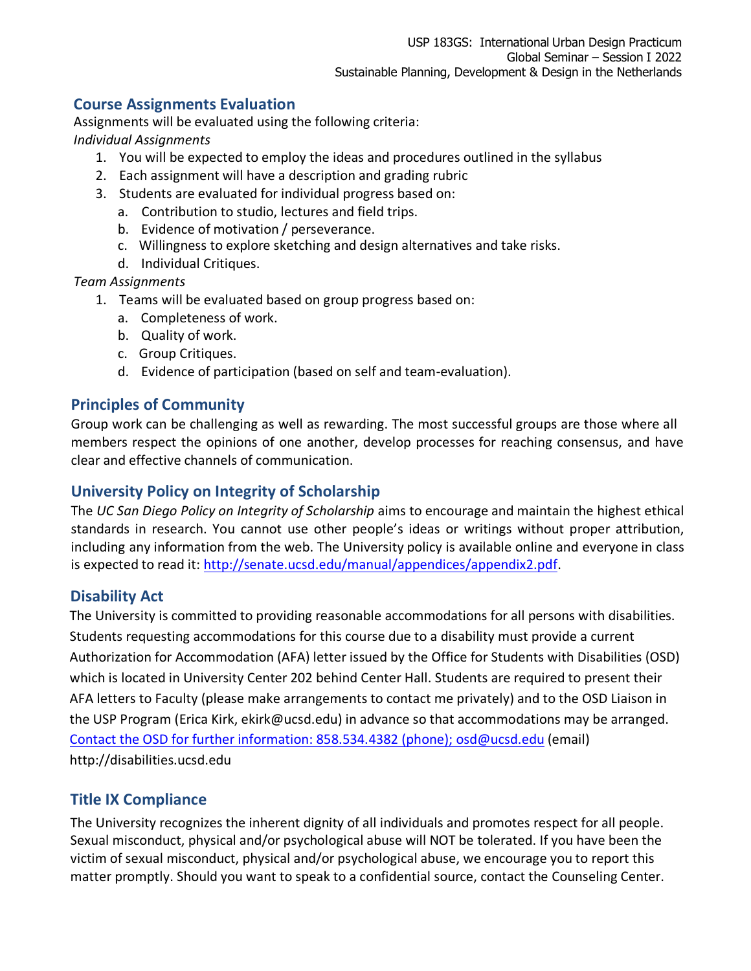#### **Course Assignments Evaluation**

Assignments will be evaluated using the following criteria: *Individual Assignments*

- 1. You will be expected to employ the ideas and procedures outlined in the syllabus
- 2. Each assignment will have a description and grading rubric
- 3. Students are evaluated for individual progress based on:
	- a. Contribution to studio, lectures and field trips.
	- b. Evidence of motivation / perseverance.
	- c. Willingness to explore sketching and design alternatives and take risks.
	- d. Individual Critiques.

*Team Assignments*

- 1. Teams will be evaluated based on group progress based on:
	- a. Completeness of work.
	- b. Quality of work.
	- c. Group Critiques.
	- d. Evidence of participation (based on self and team-evaluation).

#### **Principles of Community**

Group work can be challenging as well as rewarding. The most successful groups are those where all members respect the opinions of one another, develop processes for reaching consensus, and have clear and effective channels of communication.

#### **University Policy on Integrity of Scholarship**

The *UC San Diego Policy on Integrity of Scholarship* aims to encourage and maintain the highest ethical standards in research. You cannot use other people's ideas or writings without proper attribution, including any information from the web. The University policy is available online and everyone in class is expected to read it: http://senate.ucsd.edu/manual/appendices/appendix2.pdf.

#### **Disability Act**

The University is committed to providing reasonable accommodations for all persons with disabilities. Students requesting accommodations for this course due to a disability must provide a current Authorization for Accommodation (AFA) letter issued by the Office for Students with Disabilities (OSD) which is located in University Center 202 behind Center Hall. Students are required to present their AFA letters to Faculty (please make arrangements to contact me privately) and to the OSD Liaison in the USP Program (Erica Kirk, ekirk@ucsd.edu) in advance so that accommodations may be arranged. Contact the OSD for further information: 858.534.4382 (phone); osd@ucsd.edu (email) http://disabilities.ucsd.edu

## **Title IX Compliance**

The University recognizes the inherent dignity of all individuals and promotes respect for all people. Sexual misconduct, physical and/or psychological abuse will NOT be tolerated. If you have been the victim of sexual misconduct, physical and/or psychological abuse, we encourage you to report this matter promptly. Should you want to speak to a confidential source, contact the Counseling Center.